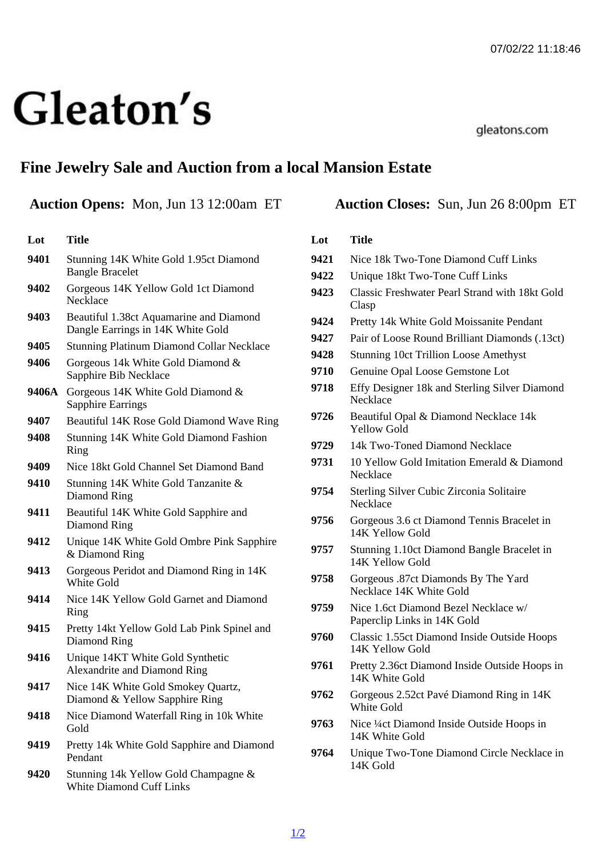# Fine Jewelry Sale and Auction from a local Mansion Estate

## Auction Opens: Mon, Jun 13 12:00am ET Auction Closes: Sun, Jun 26 8:00pm ET

#### Lot Title

- 9401 Stunning 14K White Gold 1.95ct Diamond Bangle Bracelet
- 9402 Gorgeous 14K Yellow Gold 1ct Diamond **Necklace**
- 9403 Beautiful 1.38ct Aquamarine and Diamond Dangle Earrings in 14K White Gold
- 9405 Stunning Platinum Diamond Collar Necklace
- 9406 Gorgeous 14k White Gold Diamond & Sapphire Bib Necklace
- 9406A Gorgeous 14K White Gold Diamond & Sapphire Earrings
- 9407 Beautiful 14K Rose Gold Diamond Wave Ring
- 9408 Stunning 14K White Gold Diamond Fashion Ring
- 9409 Nice 18kt Gold Channel Set Diamond Band
- 9410 Stunning 14K White Gold Tanzanite & Diamond Ring
- 9411 Beautiful 14K White Gold Sapphire and Diamond Ring
- 9412 Unique 14K White Gold Ombre Pink Sapphire & Diamond Ring
- 9413 Gorgeous Peridot and Diamond Ring in 14K White Gold
- 9414 Nice 14K Yellow Gold Garnet and Diamond Ring
- 9415 Pretty 14kt Yellow Gold Lab Pink Spinel and Diamond Ring
- 9416 Unique 14KT White Gold Synthetic Alexandrite and Diamond Ring
- 9417 Nice 14K White Gold Smokey Quartz, Diamond & Yellow Sapphire Ring
- 9418 Nice Diamond Waterfall Ring in 10k White **Gold**
- 9419 Pretty 14k White Gold Sapphire and Diamond Pendant
- 9420 Stunning 14k Yellow Gold Champagne & White Diamond Cuff Links

#### Lot Title

- 9421 Nice 18k Two-Tone Diamond Cuff Links
- 9422 Unique 18kt Two-Tone Cuff Links
- 9423 Classic Freshwater Pearl Strand with 18kt Gold Clasp
- 9424 Pretty 14k White Gold Moissanite Pendant
- 9427 Pair of Loose Round Brilliant Diamonds (.13ct)
- 9428 Stunning 10ct Trillion Loose Amethyst
- 9710 Genuine Opal Loose Gemstone Lot
- 9718 Effy Designer 18k and Sterling Silver Diamond **Necklace**
- 9726 Beautiful Opal & Diamond Necklace 14k Yellow Gold
- 9729 14k Two-Toned Diamond Necklace
- 9731 10 Yellow Gold Imitation Emerald & Diamond **Necklace**
- 9754 Sterling Silver Cubic Zirconia Solitaire **Necklace**
- 9756 Gorgeous 3.6 ct Diamond Tennis Bracelet in 14K Yellow Gold
- 9757 Stunning 1.10ct Diamond Bangle Bracelet in 14K Yellow Gold
- 9758 Gorgeous .87ct Diamonds By The Yard Necklace 14K White Gold
- 9759 Nice 1.6ct Diamond Bezel Necklace w/ Paperclip Links in 14K Gold
- 9760 Classic 1.55ct Diamond Inside Outside Hoops 14K Yellow Gold
- 9761 Pretty 2.36ct Diamond Inside Outside Hoops in 14K White Gold
- 9762 Gorgeous 2.52ct Pavé Diamond Ring in 14K White Gold
- 9763 Nice ¼ct Diamond Inside Outside Hoops in 14K White Gold
- 9764 Unique Two-Tone Diamond Circle Necklace in 14K Gold